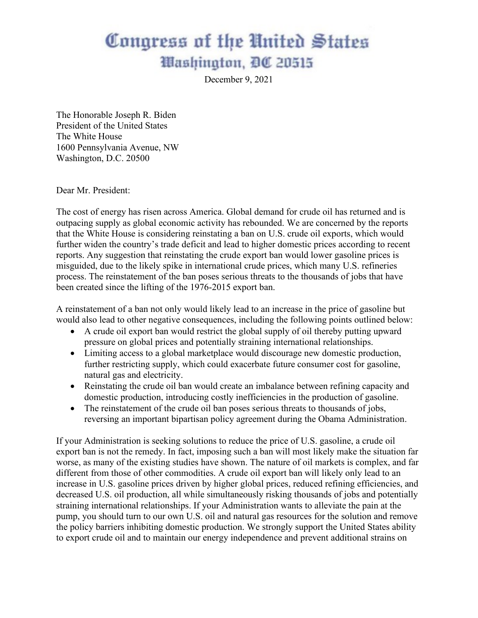## Congress of the United States Washington, DC 20515

December 9, 2021

The Honorable Joseph R. Biden President of the United States The White House 1600 Pennsylvania Avenue, NW Washington, D.C. 20500

Dear Mr. President:

The cost of energy has risen across America. Global demand for crude oil has returned and is outpacing supply as global economic activity has rebounded. We are concerned by the reports that the White House is considering reinstating a ban on U.S. crude oil exports, which would further widen the country's trade deficit and lead to higher domestic prices according to recent reports. Any suggestion that reinstating the crude export ban would lower gasoline prices is misguided, due to the likely spike in international crude prices, which many U.S. refineries process. The reinstatement of the ban poses serious threats to the thousands of jobs that have been created since the lifting of the 1976-2015 export ban.

A reinstatement of a ban not only would likely lead to an increase in the price of gasoline but would also lead to other negative consequences, including the following points outlined below:

- A crude oil export ban would restrict the global supply of oil thereby putting upward pressure on global prices and potentially straining international relationships.
- Limiting access to a global marketplace would discourage new domestic production, further restricting supply, which could exacerbate future consumer cost for gasoline, natural gas and electricity.
- Reinstating the crude oil ban would create an imbalance between refining capacity and domestic production, introducing costly inefficiencies in the production of gasoline.
- The reinstatement of the crude oil ban poses serious threats to thousands of jobs, reversing an important bipartisan policy agreement during the Obama Administration.

If your Administration is seeking solutions to reduce the price of U.S. gasoline, a crude oil export ban is not the remedy. In fact, imposing such a ban will most likely make the situation far worse, as many of the existing studies have shown. The nature of oil markets is complex, and far different from those of other commodities. A crude oil export ban will likely only lead to an increase in U.S. gasoline prices driven by higher global prices, reduced refining efficiencies, and decreased U.S. oil production, all while simultaneously risking thousands of jobs and potentially straining international relationships. If your Administration wants to alleviate the pain at the pump, you should turn to our own U.S. oil and natural gas resources for the solution and remove the policy barriers inhibiting domestic production. We strongly support the United States ability to export crude oil and to maintain our energy independence and prevent additional strains on